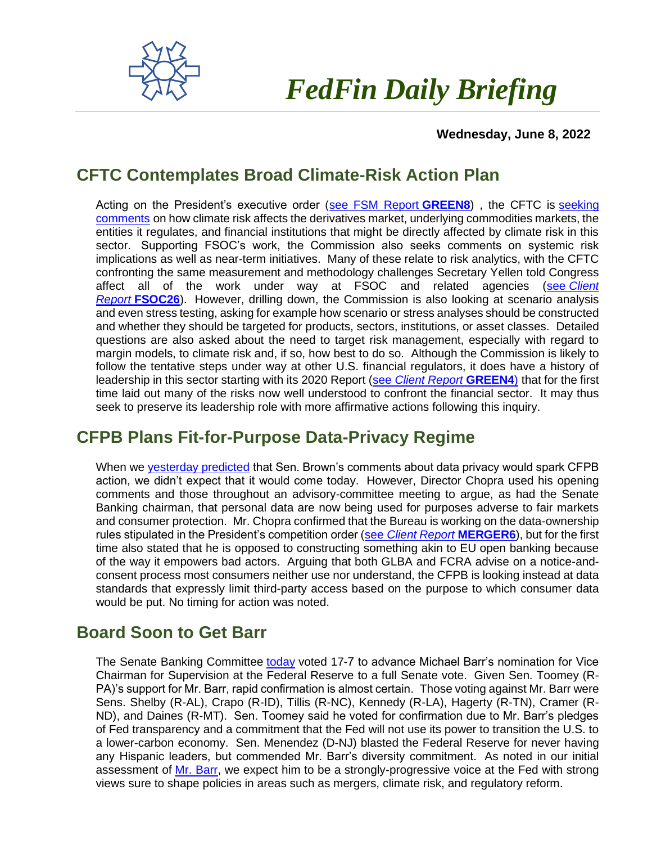

# *FedFin Daily Briefing*

 **Wednesday, June 8, 2022**

# **CFTC Contemplates Broad Climate-Risk Action Plan**

Acting on the President's executive order [\(see FSM Report](https://fedfin.us14.list-manage.com/track/click?u=27f886fdd4a438ee1dc1f0774&id=36974062d6&e=288b5ff9aa) **GREEN8**) , the CFTC is [seeking](https://fedfin.us14.list-manage.com/track/click?u=27f886fdd4a438ee1dc1f0774&id=6b5370f6d7&e=288b5ff9aa)  [comments](https://fedfin.us14.list-manage.com/track/click?u=27f886fdd4a438ee1dc1f0774&id=6b5370f6d7&e=288b5ff9aa) on how climate risk affects the derivatives market, underlying commodities markets, the entities it regulates, and financial institutions that might be directly affected by climate risk in this sector. Supporting FSOC's work, the Commission also seeks comments on systemic risk implications as well as near-term initiatives. Many of these relate to risk analytics, with the CFTC confronting the same measurement and methodology challenges Secretary Yellen told Congress affect all of the work under way at FSOC and related agencies (see *[Client](https://fedfin.us14.list-manage.com/track/click?u=27f886fdd4a438ee1dc1f0774&id=6caa7c3af8&e=288b5ff9aa)  Report* **[FSOC26](https://fedfin.us14.list-manage.com/track/click?u=27f886fdd4a438ee1dc1f0774&id=6caa7c3af8&e=288b5ff9aa)**). However, drilling down, the Commission is also looking at scenario analysis and even stress testing, asking for example how scenario or stress analyses should be constructed and whether they should be targeted for products, sectors, institutions, or asset classes. Detailed questions are also asked about the need to target risk management, especially with regard to margin models, to climate risk and, if so, how best to do so. Although the Commission is likely to follow the tentative steps under way at other U.S. financial regulators, it does have a history of leadership in this sector starting with its 2020 Report (see *[Client Report](https://fedfin.us14.list-manage.com/track/click?u=27f886fdd4a438ee1dc1f0774&id=0a53acaaca&e=288b5ff9aa)* **GREEN4**) that for the first time laid out many of the risks now well understood to confront the financial sector. It may thus seek to preserve its leadership role with more affirmative actions following this inquiry.

### **CFPB Plans Fit-for-Purpose Data-Privacy Regime**

When we [yesterday predicted](https://fedfin.us14.list-manage.com/track/click?u=27f886fdd4a438ee1dc1f0774&id=595b986577&e=288b5ff9aa) that Sen. Brown's comments about data privacy would spark CFPB action, we didn't expect that it would come today. However, Director Chopra used his opening comments and those throughout an advisory-committee meeting to argue, as had the Senate Banking chairman, that personal data are now being used for purposes adverse to fair markets and consumer protection. Mr. Chopra confirmed that the Bureau is working on the data-ownership rules stipulated in the President's competition order (see *[Client Report](https://fedfin.us14.list-manage.com/track/click?u=27f886fdd4a438ee1dc1f0774&id=9fe9184e6d&e=288b5ff9aa)* **MERGER6**), but for the first time also stated that he is opposed to constructing something akin to EU open banking because of the way it empowers bad actors. Arguing that both GLBA and FCRA advise on a notice-andconsent process most consumers neither use nor understand, the CFPB is looking instead at data standards that expressly limit third-party access based on the purpose to which consumer data would be put. No timing for action was noted.

## **Board Soon to Get Barr**

The Senate Banking Committee [today](https://fedfin.us14.list-manage.com/track/click?u=27f886fdd4a438ee1dc1f0774&id=f2ee6d28c0&e=288b5ff9aa) voted 17-7 to advance Michael Barr's nomination for Vice Chairman for Supervision at the Federal Reserve to a full Senate vote. Given Sen. Toomey (R-PA)'s support for Mr. Barr, rapid confirmation is almost certain. Those voting against Mr. Barr were Sens. Shelby (R-AL), Crapo (R-ID), Tillis (R-NC), Kennedy (R-LA), Hagerty (R-TN), Cramer (R-ND), and Daines (R-MT). Sen. Toomey said he voted for confirmation due to Mr. Barr's pledges of Fed transparency and a commitment that the Fed will not use its power to transition the U.S. to a lower-carbon economy. Sen. Menendez (D-NJ) blasted the Federal Reserve for never having any Hispanic leaders, but commended Mr. Barr's diversity commitment. As noted in our initial assessment of [Mr. Barr,](https://fedfin.us14.list-manage.com/track/click?u=27f886fdd4a438ee1dc1f0774&id=02e4f4dd49&e=288b5ff9aa) we expect him to be a strongly-progressive voice at the Fed with strong views sure to shape policies in areas such as mergers, climate risk, and regulatory reform.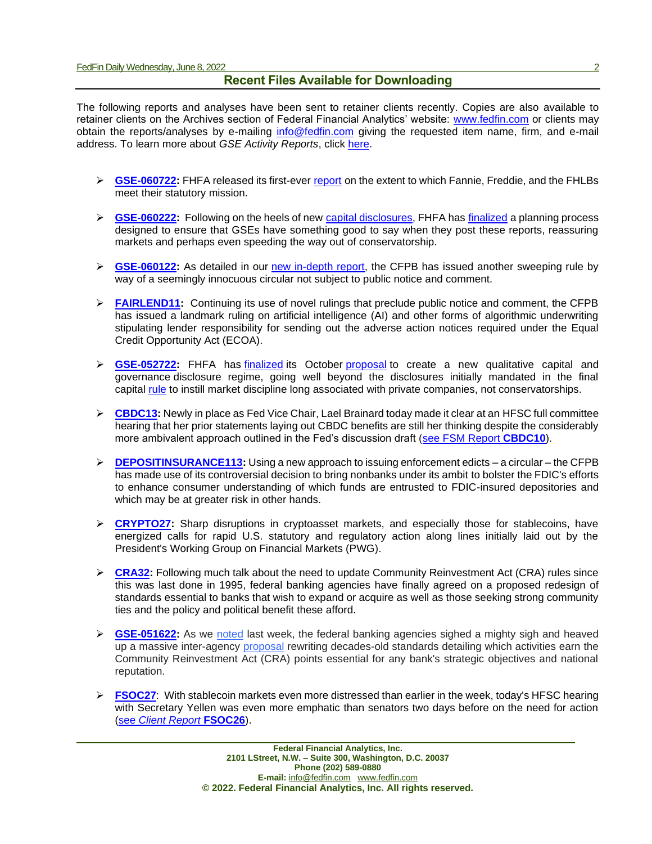#### **Recent Files Available for Downloading**

The following reports and analyses have been sent to retainer clients recently. Copies are also available to retainer clients on the Archives section of Federal Financial Analytics' website: [www.fedfin.com](http://www.fedfin.com/) or clients may obtain the reports/analyses by e-mailing [info@fedfin.com](mailto:info@fedfin.com) giving the requested item name, firm, and e-mail address. To learn more about *GSE Activity Reports*, click [here.](https://fedfin.com/gse-activity-report/)

- ➢ **[GSE-060722:](https://fedfin.com/wp-content/uploads/2022/06/GSE-060722.pdf)** FHFA released its first-ever [report](https://fedfin.us14.list-manage.com/track/click?u=27f886fdd4a438ee1dc1f0774&id=f661408e11&e=288b5ff9aa) on the extent to which Fannie, Freddie, and the FHLBs meet their statutory mission.
- ➢ **[GSE-060222:](https://fedfin.com/gse-060222/)** Following on the heels of new [capital disclosures,](https://fedfin.us14.list-manage.com/track/click?u=27f886fdd4a438ee1dc1f0774&id=edea5a0b50&e=288b5ff9aa) FHFA has [finalized](https://fedfin.us14.list-manage.com/track/click?u=27f886fdd4a438ee1dc1f0774&id=535f2f41e8&e=288b5ff9aa) a planning process designed to ensure that GSEs have something good to say when they post these reports, reassuring markets and perhaps even speeding the way out of conservatorship.
- ➢ **[GSE-060122:](https://fedfin.com/wp-content/uploads/2022/06/GSE-060122.pdf)** As detailed in our [new in-depth report,](https://fedfin.us14.list-manage.com/track/click?u=27f886fdd4a438ee1dc1f0774&id=1f5f6e379c&e=288b5ff9aa) the CFPB has issued another sweeping rule by way of a seemingly innocuous circular not subject to public notice and comment.
- ➢ **[FAIRLEND11:](https://fedfin.com/wp-content/uploads/2022/06/FAIRLEND11.pdf)** Continuing its use of novel rulings that preclude public notice and comment, the CFPB has issued a landmark ruling on artificial intelligence (AI) and other forms of algorithmic underwriting stipulating lender responsibility for sending out the adverse action notices required under the Equal Credit Opportunity Act (ECOA).
- ➢ **[GSE-052722:](https://fedfin.com/wp-content/uploads/2022/05/GSE-052722.pdf)** FHFA has [finalized](https://fedfin.us14.list-manage.com/track/click?u=27f886fdd4a438ee1dc1f0774&id=b483b716d9&e=288b5ff9aa) its October [proposal](https://fedfin.us14.list-manage.com/track/click?u=27f886fdd4a438ee1dc1f0774&id=1be5c6307a&e=288b5ff9aa) to create a new qualitative capital and governance disclosure regime, going well beyond the disclosures initially mandated in the final capital [rule](https://fedfin.us14.list-manage.com/track/click?u=27f886fdd4a438ee1dc1f0774&id=1aa9d5b231&e=288b5ff9aa) to instill market discipline long associated with private companies, not conservatorships.
- ➢ **[CBDC13:](https://fedfin.com/wp-content/uploads/2022/05/CBDC13.pdf)** Newly in place as Fed Vice Chair, Lael Brainard today made it clear at an HFSC full committee hearing that her prior statements laying out CBDC benefits are still her thinking despite the considerably more ambivalent approach outlined in the Fed's discussion draft [\(see FSM Report](https://fedfin.com/wp-content/uploads/2022/01/CBDC10.pdf) **CBDC10**).
- ➢ **[DEPOSITINSURANCE113:](https://fedfin.com/wp-content/uploads/2022/05/DEPOSITINSURANCE113.pdf)** Using a new approach to issuing enforcement edicts a circular the CFPB has made use of its controversial decision to bring nonbanks under its ambit to bolster the FDIC's efforts to enhance consumer understanding of which funds are entrusted to FDIC-insured depositories and which may be at greater risk in other hands.
- ➢ **[CRYPTO27:](https://fedfin.com/wp-content/uploads/2022/05/CRYPTO27.pdf)** Sharp disruptions in cryptoasset markets, and especially those for stablecoins, have energized calls for rapid U.S. statutory and regulatory action along lines initially laid out by the President's Working Group on Financial Markets (PWG).
- ➢ **[CRA32:](https://fedfin.com/wp-content/uploads/2022/05/CRA32.pdf)** Following much talk about the need to update Community Reinvestment Act (CRA) rules since this was last done in 1995, federal banking agencies have finally agreed on a proposed redesign of standards essential to banks that wish to expand or acquire as well as those seeking strong community ties and the policy and political benefit these afford.
- ➢ **[GSE-051622:](https://fedfin.com/wp-content/uploads/2022/05/GSE-051622.pdf)** As we [noted](https://fedfin.us14.list-manage.com/track/click?u=27f886fdd4a438ee1dc1f0774&id=61ababab2e&e=a1a473830b) last week, the federal banking agencies sighed a mighty sigh and heaved up a massive inter-agency [proposal](https://fedfin.us14.list-manage.com/track/click?u=27f886fdd4a438ee1dc1f0774&id=a2fd18f451&e=a1a473830b) rewriting decades-old standards detailing which activities earn the Community Reinvestment Act (CRA) points essential for any bank's strategic objectives and national reputation.
- ➢ **[FSOC27](https://fedfin.com/wp-content/uploads/2022/05/FSOC27.pdf)**: With stablecoin markets even more distressed than earlier in the week, today's HFSC hearing with Secretary Yellen was even more emphatic than senators two days before on the need for action (see *[Client Report](https://fedfin.us14.list-manage.com/track/click?u=27f886fdd4a438ee1dc1f0774&id=2db8509c06&e=288b5ff9aa)* **FSOC26**).